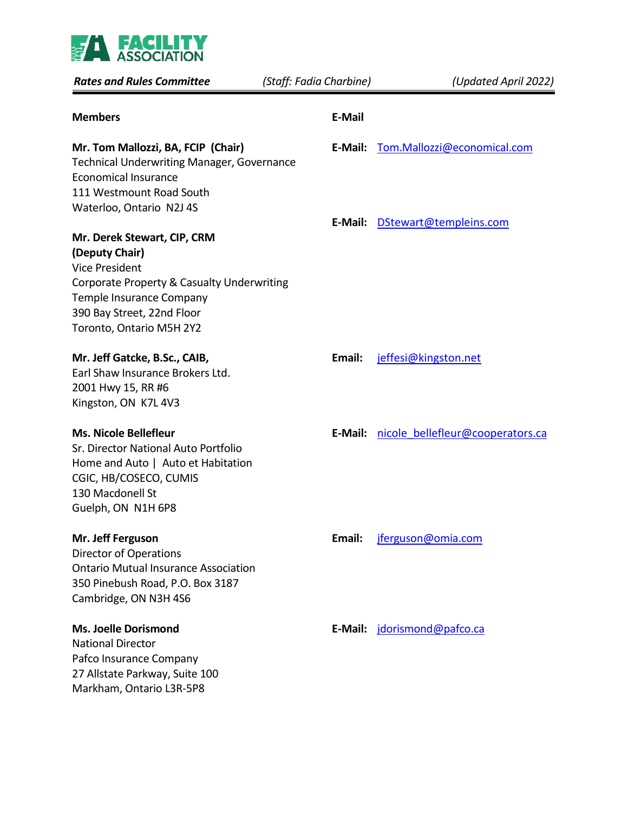

| <b>Rates and Rules Committee</b>                                                                                                                                                                           | (Staff: Fadia Charbine) | (Updated April 2022)             |
|------------------------------------------------------------------------------------------------------------------------------------------------------------------------------------------------------------|-------------------------|----------------------------------|
| <b>Members</b>                                                                                                                                                                                             | <b>E-Mail</b>           |                                  |
| Mr. Tom Mallozzi, BA, FCIP (Chair)<br><b>Technical Underwriting Manager, Governance</b><br><b>Economical Insurance</b>                                                                                     | E-Mail:                 | Tom.Mallozzi@economical.com      |
| 111 Westmount Road South<br>Waterloo, Ontario N2J 4S                                                                                                                                                       | E-Mail:                 | DStewart@templeins.com           |
| Mr. Derek Stewart, CIP, CRM<br>(Deputy Chair)<br><b>Vice President</b><br>Corporate Property & Casualty Underwriting<br>Temple Insurance Company<br>390 Bay Street, 22nd Floor<br>Toronto, Ontario M5H 2Y2 |                         |                                  |
| Mr. Jeff Gatcke, B.Sc., CAIB,<br>Earl Shaw Insurance Brokers Ltd.<br>2001 Hwy 15, RR #6<br>Kingston, ON K7L 4V3                                                                                            | Email:                  | jeffesi@kingston.net             |
| <b>Ms. Nicole Bellefleur</b><br>Sr. Director National Auto Portfolio<br>Home and Auto   Auto et Habitation<br>CGIC, HB/COSECO, CUMIS<br>130 Macdonell St<br>Guelph, ON N1H 6P8                             | E-Mail:                 | nicole bellefleur@cooperators.ca |
| Mr. Jeff Ferguson<br><b>Director of Operations</b><br><b>Ontario Mutual Insurance Association</b><br>350 Pinebush Road, P.O. Box 3187<br>Cambridge, ON N3H 4S6                                             | Email:                  | jferguson@omia.com               |
| <b>Ms. Joelle Dorismond</b><br><b>National Director</b><br>Pafco Insurance Company<br>27 Allstate Parkway, Suite 100<br>Markham, Ontario L3R-5P8                                                           | E-Mail:                 | jdorismond@pafco.ca              |